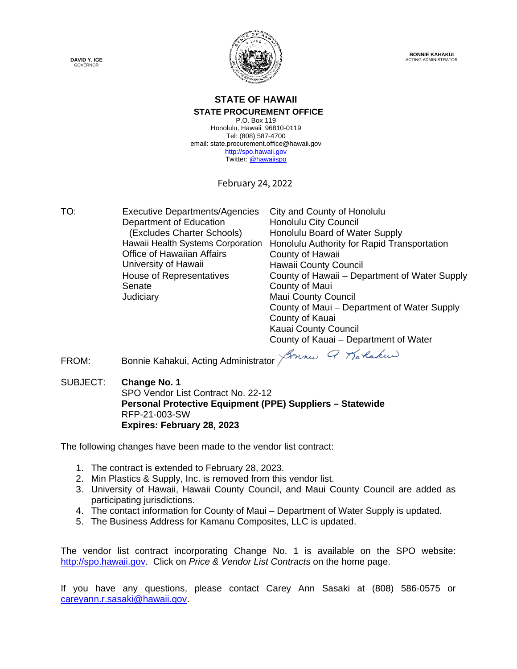



**BONNIE KAHAKUI** ACTING ADMINISTRATOR

#### **STATE OF HAWAII STATE PROCUREMENT OFFICE**

P.O. Box 119 Honolulu, Hawaii 96810-0119 Tel: (808) 587-4700 email: state.procurement.office@hawaii.gov [http://spo.hawaii.gov](http://spo.hawaii.gov/) Twitter[: @hawaiispo](https://twitter.com/hawaiispo)

February 24, 2022

TO: Executive Departments/Agencies City and County of Honolulu Department of Education Honolulu City Council (Excludes Charter Schools) Honolulu Board of Water Supply Hawaii Health Systems Corporation Office of Hawaiian Affairs University of Hawaii Honolulu Authority for Rapid Transportation County of Hawaii Hawaii County Council House of Representatives County of Hawaii – Department of Water Supply Senate **Judiciary** County of Maui Maui County Council County of Maui – Department of Water Supply County of Kauai

Kauai County Council County of Kauai – Department of Water

FROM: Bonnie Kahakui, Acting Administrator John Q Tarlakus

SUBJECT: **Change No. 1** SPO Vendor List Contract No. 22-12 **Personal Protective Equipment (PPE) Suppliers – Statewide** RFP-21-003-SW **Expires: February 28, 2023**

The following changes have been made to the vendor list contract:

- 1. The contract is extended to February 28, 2023.
- 2. Min Plastics & Supply, Inc. is removed from this vendor list.
- 3. University of Hawaii, Hawaii County Council, and Maui County Council are added as participating jurisdictions.
- 4. The contact information for County of Maui Department of Water Supply is updated.
- 5. The Business Address for Kamanu Composites, LLC is updated.

The vendor list contract incorporating Change No. 1 is available on the SPO website: [http://spo.hawaii.gov.](http://spo.hawaii.gov/) Click on *Price & Vendor List Contracts* on the home page.

If you have any questions, please contact Carey Ann Sasaki at (808) 586-0575 or [careyann.r.sasaki@hawaii.gov.](mailto:careyann.r.sasaki@hawaii.gov)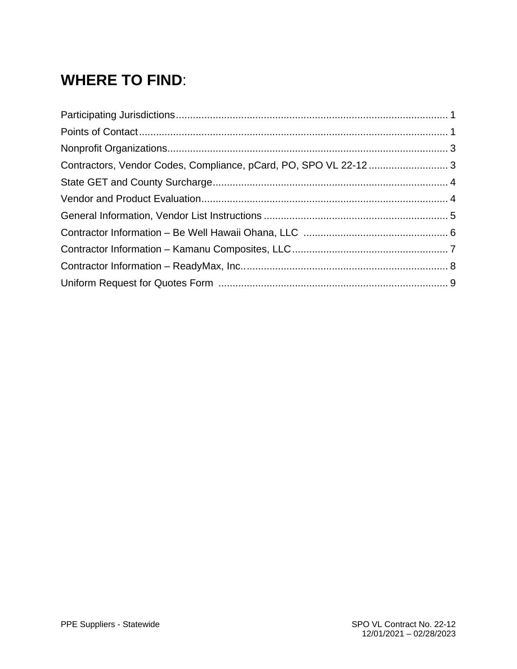# **WHERE TO FIND**: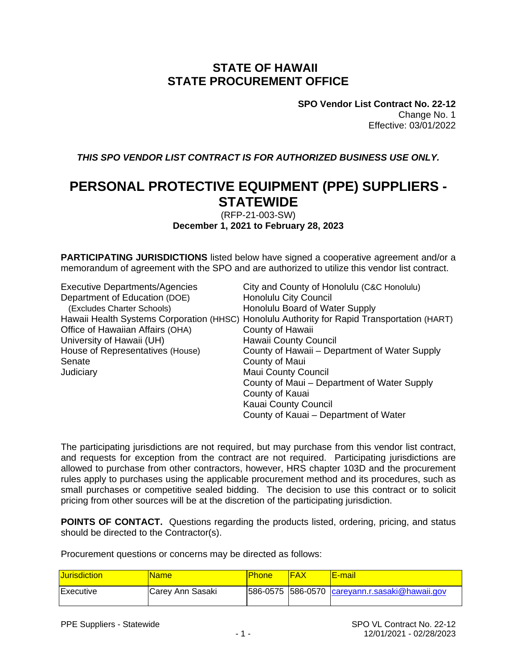#### **STATE OF HAWAII STATE PROCUREMENT OFFICE**

**SPO Vendor List Contract No. 22-12** Change No. 1 Effective: 03/01/2022

*THIS SPO VENDOR LIST CONTRACT IS FOR AUTHORIZED BUSINESS USE ONLY.*

#### **PERSONAL PROTECTIVE EQUIPMENT (PPE) SUPPLIERS - STATEWIDE**

(RFP-21-003-SW) **December 1, 2021 to February 28, 2023**

**PARTICIPATING JURISDICTIONS** listed below have signed a cooperative agreement and/or a memorandum of agreement with the SPO and are authorized to utilize this vendor list contract.

| <b>Executive Departments/Agencies</b> | City and County of Honolulu (C&C Honolulu)                                                  |
|---------------------------------------|---------------------------------------------------------------------------------------------|
| Department of Education (DOE)         | <b>Honolulu City Council</b>                                                                |
| (Excludes Charter Schools)            | Honolulu Board of Water Supply                                                              |
|                                       | Hawaii Health Systems Corporation (HHSC) Honolulu Authority for Rapid Transportation (HART) |
| Office of Hawaiian Affairs (OHA)      | County of Hawaii                                                                            |
| University of Hawaii (UH)             | <b>Hawaii County Council</b>                                                                |
| House of Representatives (House)      | County of Hawaii – Department of Water Supply                                               |
| Senate                                | County of Maui                                                                              |
| Judiciary                             | <b>Maui County Council</b>                                                                  |
|                                       | County of Maui – Department of Water Supply                                                 |
|                                       | County of Kauai                                                                             |
|                                       | Kauai County Council                                                                        |
|                                       | County of Kauai – Department of Water                                                       |

The participating jurisdictions are not required, but may purchase from this vendor list contract, and requests for exception from the contract are not required. Participating jurisdictions are allowed to purchase from other contractors, however, HRS chapter 103D and the procurement rules apply to purchases using the applicable procurement method and its procedures, such as small purchases or competitive sealed bidding. The decision to use this contract or to solicit pricing from other sources will be at the discretion of the participating jurisdiction.

**POINTS OF CONTACT.** Questions regarding the products listed, ordering, pricing, and status should be directed to the Contractor(s).

Procurement questions or concerns may be directed as follows:

| <b>Uurisdiction</b> | <b>Name</b>      | Phone | IFAX | <u>IE-mail</u>                                  |
|---------------------|------------------|-------|------|-------------------------------------------------|
| Executive           | Carey Ann Sasaki |       |      | 586-0575 586-0570 $careyann.r.sasaki@hawai.gov$ |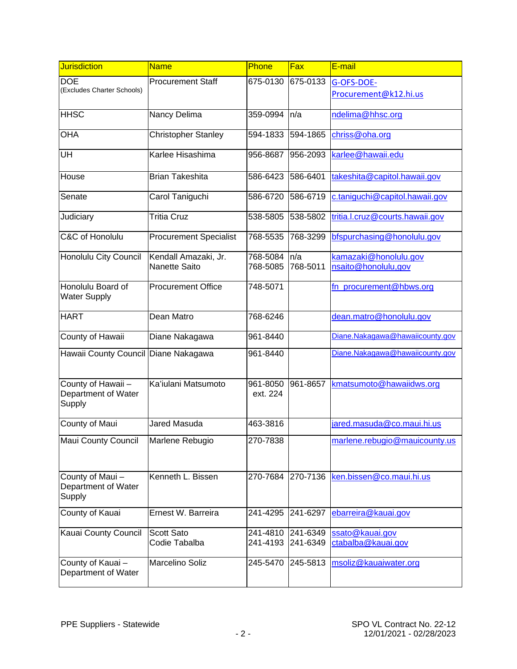| Jurisdiction                                        | <b>Name</b>                   | Phone                | Fax      | E-mail                          |
|-----------------------------------------------------|-------------------------------|----------------------|----------|---------------------------------|
| <b>DOE</b><br>(Excludes Charter Schools)            | <b>Procurement Staff</b>      | 675-0130             | 675-0133 | G-OFS-DOE-                      |
|                                                     |                               |                      |          | Procurement@k12.hi.us           |
| <b>HHSC</b>                                         | Nancy Delima                  | 359-0994             | n/a      | ndelima@hhsc.org                |
| <b>OHA</b>                                          | <b>Christopher Stanley</b>    | 594-1833             | 594-1865 | chriss@oha.org                  |
| UH                                                  | Karlee Hisashima              | 956-8687             | 956-2093 | karlee@hawaii.edu               |
| House                                               | <b>Brian Takeshita</b>        | 586-6423             | 586-6401 | takeshita@capitol.hawaii.gov    |
| Senate                                              | Carol Taniguchi               | 586-6720             | 586-6719 | c.taniguchi@capitol.hawaii.gov  |
| Judiciary                                           | <b>Tritia Cruz</b>            | 538-5805             | 538-5802 | tritia.l.cruz@courts.hawaii.gov |
| C&C of Honolulu                                     | <b>Procurement Specialist</b> | 768-5535             | 768-3299 | bfspurchasing@honolulu.gov      |
| Honolulu City Council                               | Kendall Amazaki, Jr.          | 768-5084             | n/a      | kamazaki@honolulu.gov           |
|                                                     | <b>Nanette Saito</b>          | 768-5085             | 768-5011 | nsaito@honolulu,gov             |
| Honolulu Board of<br><b>Water Supply</b>            | <b>Procurement Office</b>     | 748-5071             |          | fn_procurement@hbws.org         |
| <b>HART</b>                                         | Dean Matro                    | 768-6246             |          | dean.matro@honolulu.gov         |
| County of Hawaii                                    | Diane Nakagawa                | 961-8440             |          | Diane.Nakagawa@hawaiicounty.gov |
| Hawaii County Council                               | Diane Nakagawa                | 961-8440             |          | Diane.Nakagawa@hawaiicounty.gov |
| County of Hawaii -<br>Department of Water<br>Supply | Ka'iulani Matsumoto           | 961-8050<br>ext. 224 | 961-8657 | kmatsumoto@hawaiidws.org        |
| County of Maui                                      | <b>Jared Masuda</b>           | 463-3816             |          | jared.masuda@co.maui.hi.us      |
| Maui County Council                                 | Marlene Rebugio               | 270-7838             |          | marlene.rebugio@mauicounty.us   |
| County of Maui-<br>Department of Water<br>Supply    | Kenneth L. Bissen             | 270-7684             | 270-7136 | ken.bissen@co.maui.hi.us        |
| County of Kauai                                     | Ernest W. Barreira            | 241-4295             | 241-6297 | ebarreira@kauai.gov             |
| Kauai County Council                                | Scott Sato                    | 241-4810             | 241-6349 | ssato@kauai.gov                 |
|                                                     | Codie Tabalba                 | 241-4193             | 241-6349 | ctabalba@kauai.gov              |
| County of Kauai-<br>Department of Water             | Marcelino Soliz               | 245-5470             | 245-5813 | msoliz@kauaiwater.org           |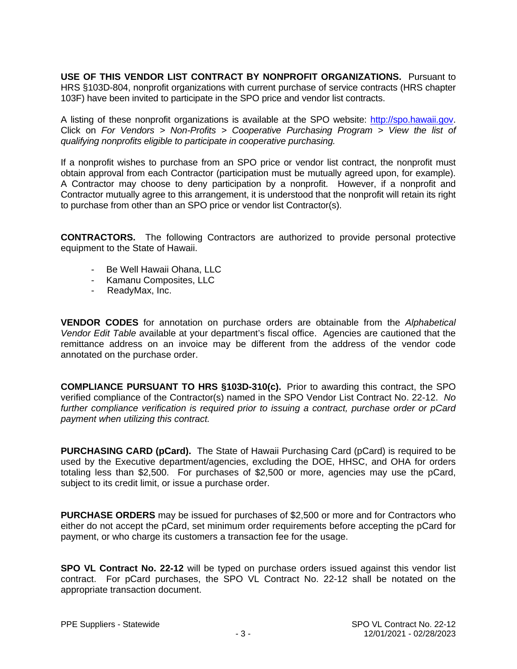**USE OF THIS VENDOR LIST CONTRACT BY NONPROFIT ORGANIZATIONS.** Pursuant to HRS §103D-804, nonprofit organizations with current purchase of service contracts (HRS chapter 103F) have been invited to participate in the SPO price and vendor list contracts.

A listing of these nonprofit organizations is available at the SPO website: [http://spo.hawaii.gov.](http://spo.hawaii.gov/) Click on *For Vendors > Non-Profits > Cooperative Purchasing Program > View the list of qualifying nonprofits eligible to participate in cooperative purchasing.*

If a nonprofit wishes to purchase from an SPO price or vendor list contract, the nonprofit must obtain approval from each Contractor (participation must be mutually agreed upon, for example). A Contractor may choose to deny participation by a nonprofit. However, if a nonprofit and Contractor mutually agree to this arrangement, it is understood that the nonprofit will retain its right to purchase from other than an SPO price or vendor list Contractor(s).

**CONTRACTORS.** The following Contractors are authorized to provide personal protective equipment to the State of Hawaii.

- Be Well Hawaii Ohana, LLC
- Kamanu Composites, LLC
- ReadyMax, Inc.

**VENDOR CODES** for annotation on purchase orders are obtainable from the *Alphabetical Vendor Edit Table* available at your department's fiscal office. Agencies are cautioned that the remittance address on an invoice may be different from the address of the vendor code annotated on the purchase order.

**COMPLIANCE PURSUANT TO HRS §103D-310(c).** Prior to awarding this contract, the SPO verified compliance of the Contractor(s) named in the SPO Vendor List Contract No. 22-12. *No further compliance verification is required prior to issuing a contract, purchase order or pCard payment when utilizing this contract.*

**PURCHASING CARD (pCard).** The State of Hawaii Purchasing Card (pCard) is required to be used by the Executive department/agencies, excluding the DOE, HHSC, and OHA for orders totaling less than \$2,500. For purchases of \$2,500 or more, agencies may use the pCard, subject to its credit limit, or issue a purchase order.

**PURCHASE ORDERS** may be issued for purchases of \$2,500 or more and for Contractors who either do not accept the pCard, set minimum order requirements before accepting the pCard for payment, or who charge its customers a transaction fee for the usage.

**SPO VL Contract No. 22-12** will be typed on purchase orders issued against this vendor list contract. For pCard purchases, the SPO VL Contract No. 22-12 shall be notated on the appropriate transaction document.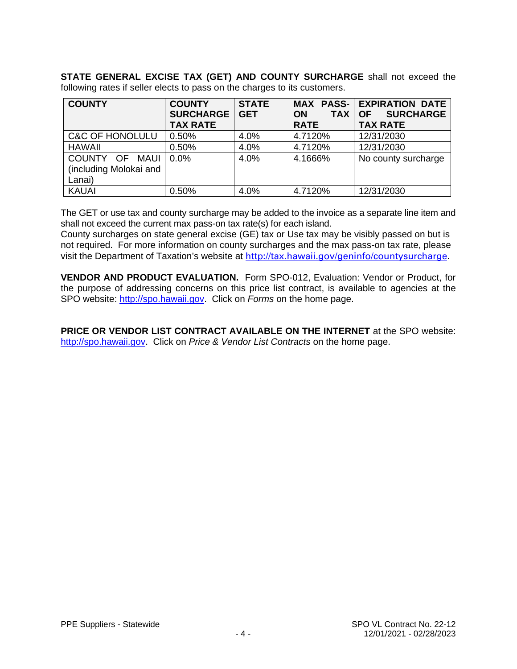**STATE GENERAL EXCISE TAX (GET) AND COUNTY SURCHARGE** shall not exceed the following rates if seller elects to pass on the charges to its customers.

| <b>COUNTY</b>              | <b>COUNTY</b>    | <b>STATE</b> |                         | <b>MAX PASS- EXPIRATION DATE</b> |
|----------------------------|------------------|--------------|-------------------------|----------------------------------|
|                            | <b>SURCHARGE</b> | <b>GET</b>   | <b>TAX</b><br><b>ON</b> | <b>SURCHARGE</b><br><b>OF</b>    |
|                            | <b>TAX RATE</b>  |              | <b>RATE</b>             | <b>TAX RATE</b>                  |
| <b>C&amp;C OF HONOLULU</b> | 0.50%            | 4.0%         | 4.7120%                 | 12/31/2030                       |
| <b>HAWAII</b>              | 0.50%            | 4.0%         | 4.7120%                 | 12/31/2030                       |
| COUNTY OF<br>MAUI          | $0.0\%$          | 4.0%         | 4.1666%                 | No county surcharge              |
| (including Molokai and     |                  |              |                         |                                  |
| Lanai)                     |                  |              |                         |                                  |
| <b>KAUAI</b>               | 0.50%            | 4.0%         | 4.7120%                 | 12/31/2030                       |

The GET or use tax and county surcharge may be added to the invoice as a separate line item and shall not exceed the current max pass-on tax rate(s) for each island.

County surcharges on state general excise (GE) tax or Use tax may be visibly passed on but is not required. For more information on county surcharges and the max pass-on tax rate, please visit the Department of Taxation's website at <http://tax.hawaii.gov/geninfo/countysurcharge>.

**VENDOR AND PRODUCT EVALUATION.** Form SPO-012, Evaluation: Vendor or Product, for the purpose of addressing concerns on this price list contract, is available to agencies at the SPO website: [http://spo.hawaii.gov.](http://spo.hawaii.gov/) Click on *Forms* on the home page.

**PRICE OR VENDOR LIST CONTRACT AVAILABLE ON THE INTERNET** at the SPO website: [http://spo.hawaii.gov.](http://spo.hawaii.gov/) Click on *Price & Vendor List Contracts* on the home page.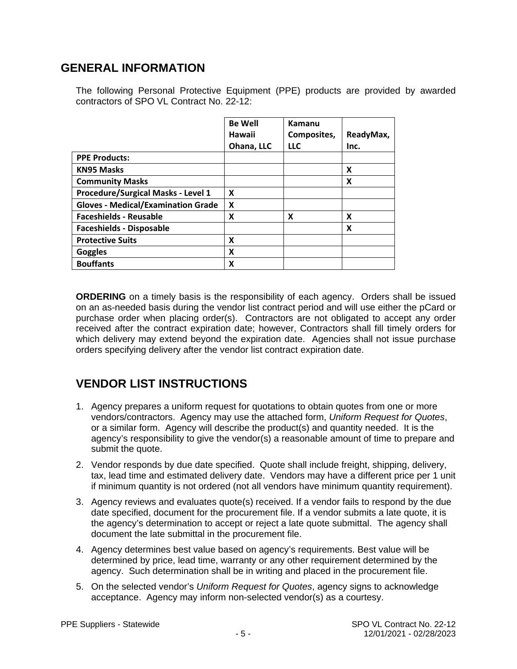#### **GENERAL INFORMATION**

The following Personal Protective Equipment (PPE) products are provided by awarded contractors of SPO VL Contract No. 22-12:

|                                           | <b>Be Well</b> | Kamanu      |           |
|-------------------------------------------|----------------|-------------|-----------|
|                                           | Hawaii         | Composites, | ReadyMax, |
|                                           | Ohana, LLC     | <b>LLC</b>  | Inc.      |
| <b>PPE Products:</b>                      |                |             |           |
| <b>KN95 Masks</b>                         |                |             | X         |
| <b>Community Masks</b>                    |                |             | X         |
| Procedure/Surgical Masks - Level 1        | X              |             |           |
| <b>Gloves - Medical/Examination Grade</b> | X              |             |           |
| <b>Faceshields - Reusable</b>             | X              | X           | X         |
| <b>Faceshields - Disposable</b>           |                |             | X         |
| <b>Protective Suits</b>                   | x              |             |           |
| <b>Goggles</b>                            | X              |             |           |
| <b>Bouffants</b>                          | χ              |             |           |

**ORDERING** on a timely basis is the responsibility of each agency. Orders shall be issued on an as-needed basis during the vendor list contract period and will use either the pCard or purchase order when placing order(s). Contractors are not obligated to accept any order received after the contract expiration date; however, Contractors shall fill timely orders for which delivery may extend beyond the expiration date. Agencies shall not issue purchase orders specifying delivery after the vendor list contract expiration date.

#### **VENDOR LIST INSTRUCTIONS**

- 1. Agency prepares a uniform request for quotations to obtain quotes from one or more vendors/contractors. Agency may use the attached form, *Uniform Request for Quotes*, or a similar form. Agency will describe the product(s) and quantity needed. It is the agency's responsibility to give the vendor(s) a reasonable amount of time to prepare and submit the quote.
- 2. Vendor responds by due date specified. Quote shall include freight, shipping, delivery, tax, lead time and estimated delivery date. Vendors may have a different price per 1 unit if minimum quantity is not ordered (not all vendors have minimum quantity requirement).
- 3. Agency reviews and evaluates quote(s) received. If a vendor fails to respond by the due date specified, document for the procurement file. If a vendor submits a late quote, it is the agency's determination to accept or reject a late quote submittal. The agency shall document the late submittal in the procurement file.
- 4. Agency determines best value based on agency's requirements. Best value will be determined by price, lead time, warranty or any other requirement determined by the agency. Such determination shall be in writing and placed in the procurement file.
- 5. On the selected vendor's *Uniform Request for Quotes*, agency signs to acknowledge acceptance. Agency may inform non-selected vendor(s) as a courtesy.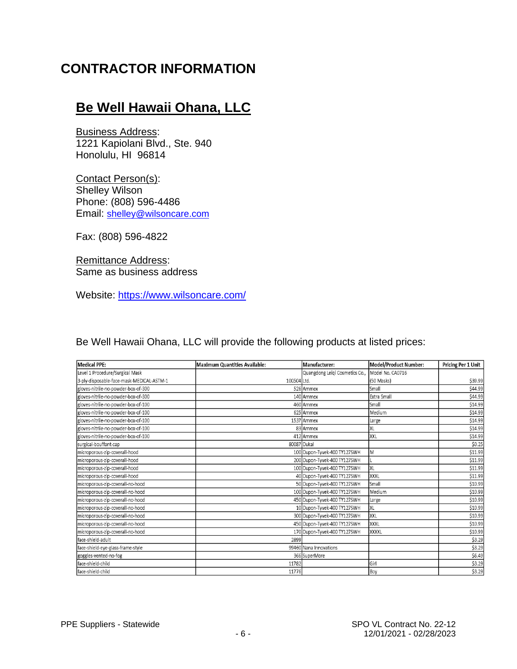### **CONTRACTOR INFORMATION**

### **Be Well Hawaii Ohana, LLC**

Business Address: 1221 Kapiolani Blvd., Ste. 940 Honolulu, HI 96814

Contact Person(s): Shelley Wilson Phone: (808) 596-4486 Email: [shelley@wilsoncare.com](mailto:shelley@wilsoncare.com)

Fax: (808) 596-4822

Remittance Address: Same as business address

Website:<https://www.wilsoncare.com/>

Be Well Hawaii Ohana, LLC will provide the following products at listed prices:

| Medical PPE:                              | Maximum Quantities Available: | Manufacturer:                  | Model/Product Number: | Pricing Per 1 Unit |
|-------------------------------------------|-------------------------------|--------------------------------|-----------------------|--------------------|
| Level 1 Procedure/Surgical Mask           |                               | Quangdong Leiqi Cosmetics Co., | Model No. CA0716      |                    |
| 3-ply-disposable-face-mask-MEDICAL-ASTM-1 | 100504 Ltd.                   |                                | (50 Masks)            | \$39.99            |
| gloves-nitrile-no-powder-box-of-300       |                               | 526 Ammex                      | Small                 | \$44.99            |
| gloves-nitrile-no-powder-box-of-300       |                               | 140 Ammex                      | <b>Extra Small</b>    | \$44.99            |
| gloves-nitrile-no-powder-box-of-100       |                               | 460 Ammex                      | Small                 | \$14.99            |
| gloves-nitrile-no-powder-box-of-100       |                               | 625 Ammex                      | Medium                | \$14.99            |
| gloves-nitrile-no-powder-box-of-100       |                               | 1537 Ammex                     | Large                 | \$14.99            |
| gloves-nitrile-no-powder-box-of-100       |                               | 83 Ammex                       | XL                    | \$14.99            |
| gloves-nitrile-no-powder-box-of-100       |                               | 412 Ammex                      | XXL                   | \$14.99            |
| surgical-bouffant-cap                     |                               | 80087 Dukal                    |                       | \$0.25             |
| microporous-zip-coverall-hood             |                               | 100 Dupon-Tyvek-400 TY127SWH   | İΜ                    | \$11.99            |
| microporous-zip-coverall-hood             |                               | 200 Dupon-Tyvek-400 TY127SWH   |                       | \$11.99            |
| microporous-zip-coverall-hood             |                               | 100 Dupon-Tyvek-400 TY127SWH   | XL                    | \$11.99            |
| microporous-zip-coverall-hood             |                               | 40 Dupon-Tyvek-400 TY127SWH    | XXXL                  | \$11.99            |
| microporous-zip-coverall-no-hood          |                               | 50 Dupon-Tyvek-400 TY127SWH    | Small                 | \$10.99            |
| microporous-zip-coverall-no-hood          |                               | 100 Dupon-Tyvek-400 TY127SWH   | Medium                | \$10.99            |
| microporous-zip-coverall-no-hood          |                               | 450 Dupon-Tyvek-400 TY127SWH   | Large                 | \$10.99            |
| microporous-zip-coverall-no-hood          |                               | 10 Dupon-Tyvek-400 TY127SWH    | XL                    | \$10.99            |
| microporous-zip-coverall-no-hood          |                               | 300 Dupon-Tyvek-400 TY127SWH   | XXL                   | \$10.99            |
| microporous-zip-coverall-no-hood          |                               | 450 Dupon-Tyvek-400 TY127SWH   | XXXL                  | \$10.99            |
| microporous-zip-coverall-no-hood          |                               | 170 Dupon-Tyvek-400 TY127SWH   | <b>XXXXL</b>          | \$10.99            |
| face-shield-adult                         | 2899                          |                                |                       | \$3.29             |
| face-shield-eye-glass-frame-style         |                               | 99460 Nana Innovations         |                       | \$3.29             |
| goggles-vented-no-fog                     |                               | 366 SuperMore                  |                       | 56.49              |
| face-shield-child                         | 11782                         |                                | Girl                  | \$3.29             |
| face-shield-child                         | 11776                         |                                | Boy                   | \$3.29             |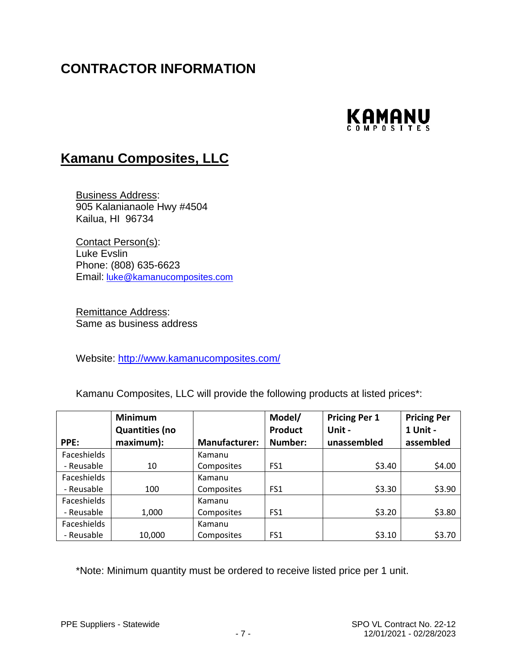# **CONTRACTOR INFORMATION**



#### **Kamanu Composites, LLC**

Business Address: 905 Kalanianaole Hwy #4504 Kailua, HI 96734

Contact Person(s): Luke Evslin Phone: (808) 635-6623 Email: [luke@kamanucomposites.com](mailto:luke@kamanucomposites.com)

Remittance Address: Same as business address

Website:<http://www.kamanucomposites.com/>

Kamanu Composites, LLC will provide the following products at listed prices\*:

|                    | <b>Minimum</b>        |                      | Model/          | <b>Pricing Per 1</b> | <b>Pricing Per</b> |
|--------------------|-----------------------|----------------------|-----------------|----------------------|--------------------|
|                    | <b>Quantities (no</b> |                      | <b>Product</b>  | Unit -               | 1 Unit -           |
| PPE:               | maximum):             | <b>Manufacturer:</b> | Number:         | unassembled          | assembled          |
| Faceshields        |                       | Kamanu               |                 |                      |                    |
| - Reusable         | 10                    | Composites           | FS1             | \$3.40               | \$4.00             |
| Faceshields        |                       | Kamanu               |                 |                      |                    |
| - Reusable         | 100                   | Composites           | FS1             | \$3.30               | \$3.90             |
| <b>Faceshields</b> |                       | Kamanu               |                 |                      |                    |
| - Reusable         | 1,000                 | Composites           | FS1             | \$3.20               | \$3.80             |
| Faceshields        |                       | Kamanu               |                 |                      |                    |
| - Reusable         | 10,000                | Composites           | FS <sub>1</sub> | \$3.10               | \$3.70             |

\*Note: Minimum quantity must be ordered to receive listed price per 1 unit.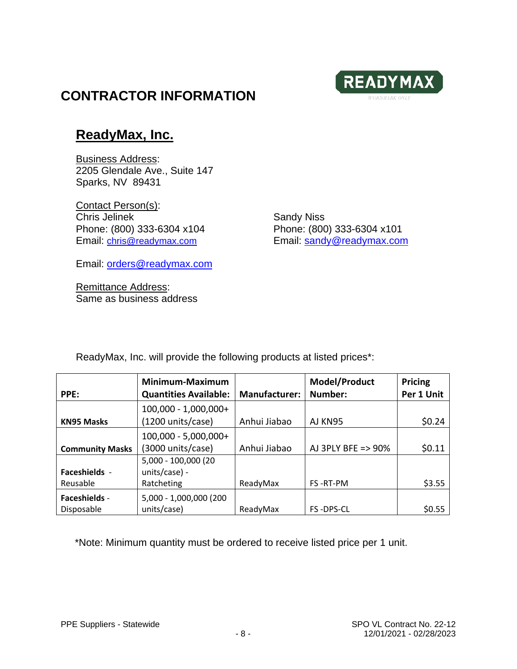

### **CONTRACTOR INFORMATION**

#### **ReadyMax, Inc.**

Business Address: 2205 Glendale Ave., Suite 147 Sparks, NV 89431

Contact Person(s): Chris Jelinek **Sandy Niss** Sandy Niss Phone: (800) 333-6304 x104 Phone: (800) 333-6304 x101

Email: [chris@readymax.com](mailto:chris@readymax.com) Email: [sandy@readymax.com](mailto:sandy@readymax.com)

Email: [orders@readymax.com](mailto:orders@readymax.com)

Remittance Address: Same as business address

ReadyMax, Inc. will provide the following products at listed prices\*:

|                                    | Minimum-Maximum                       |               | Model/Product      | <b>Pricing</b> |
|------------------------------------|---------------------------------------|---------------|--------------------|----------------|
| PPE:                               | <b>Quantities Available:</b>          | Manufacturer: | Number:            | Per 1 Unit     |
|                                    | $100,000 - 1,000,000 +$               |               |                    |                |
| <b>KN95 Masks</b>                  | (1200 units/case)                     | Anhui Jiabao  | AJ KN95            | \$0.24         |
|                                    | 100,000 - 5,000,000+                  |               |                    |                |
| <b>Community Masks</b>             | (3000 units/case)                     | Anhui Jiabao  | AJ 3PLY BFE => 90% | \$0.11         |
|                                    | 5,000 - 100,000 (20                   |               |                    |                |
| <b>Faceshields -</b>               | units/case) -                         |               |                    |                |
| Reusable                           | Ratcheting                            | ReadyMax      | FS-RT-PM           | \$3.55         |
| <b>Faceshields -</b><br>Disposable | 5,000 - 1,000,000 (200<br>units/case) | ReadyMax      | <b>FS-DPS-CL</b>   | \$0.55         |

\*Note: Minimum quantity must be ordered to receive listed price per 1 unit.